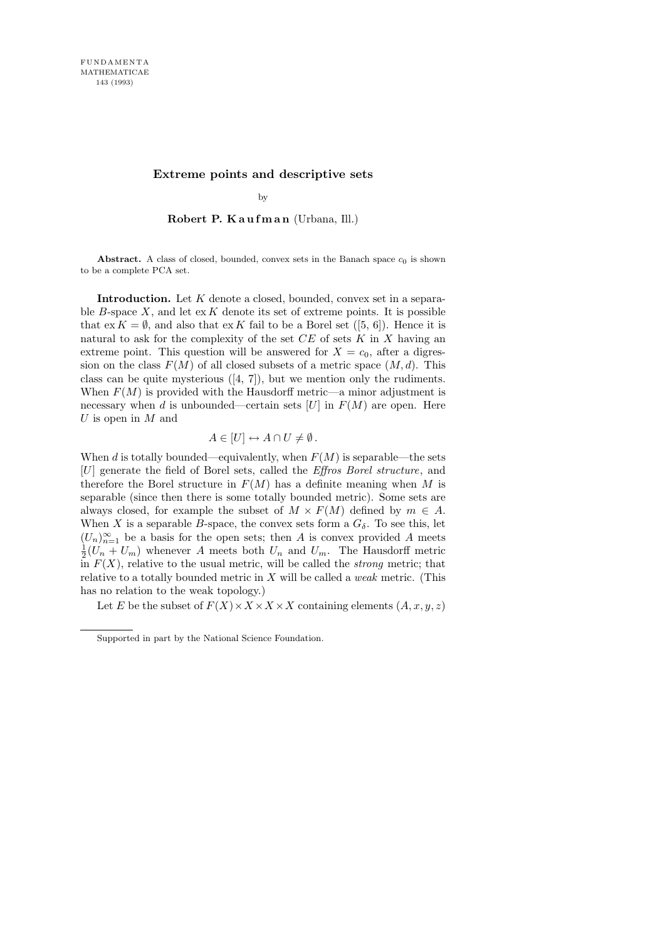## **Extreme points and descriptive sets**

by

## Robert P. Kaufman (Urbana, Ill.)

**Abstract.** A class of closed, bounded, convex sets in the Banach space  $c_0$  is shown to be a complete PCA set.

Introduction. Let K denote a closed, bounded, convex set in a separable B-space  $X$ , and let  $\operatorname{ex} K$  denote its set of extreme points. It is possible that  $ex K = \emptyset$ , and also that  $ex K$  fail to be a Borel set ([5, 6]). Hence it is natural to ask for the complexity of the set  $CE$  of sets  $K$  in  $X$  having an extreme point. This question will be answered for  $X = c_0$ , after a digression on the class  $F(M)$  of all closed subsets of a metric space  $(M, d)$ . This class can be quite mysterious ([4, 7]), but we mention only the rudiments. When  $F(M)$  is provided with the Hausdorff metric—a minor adjustment is necessary when d is unbounded—certain sets  $[U]$  in  $F(M)$  are open. Here U is open in  $M$  and

## $A \in [U] \leftrightarrow A \cap U \neq \emptyset$ .

When d is totally bounded—equivalently, when  $F(M)$  is separable—the sets [U] generate the field of Borel sets, called the Effros Borel structure, and therefore the Borel structure in  $F(M)$  has a definite meaning when M is separable (since then there is some totally bounded metric). Some sets are always closed, for example the subset of  $M \times F(M)$  defined by  $m \in A$ . When X is a separable B-space, the convex sets form a  $G_{\delta}$ . To see this, let  $(U_n)_{n=1}^{\infty}$  be a basis for the open sets; then A is convex provided A meets  $\overline{1}$  $\frac{1}{2}(U_n + U_m)$  whenever A meets both  $U_n$  and  $U_m$ . The Hausdorff metric in  $F(X)$ , relative to the usual metric, will be called the *strong* metric; that relative to a totally bounded metric in  $X$  will be called a *weak* metric. (This has no relation to the weak topology.)

Let E be the subset of  $F(X) \times X \times X \times X$  containing elements  $(A, x, y, z)$ 

Supported in part by the National Science Foundation.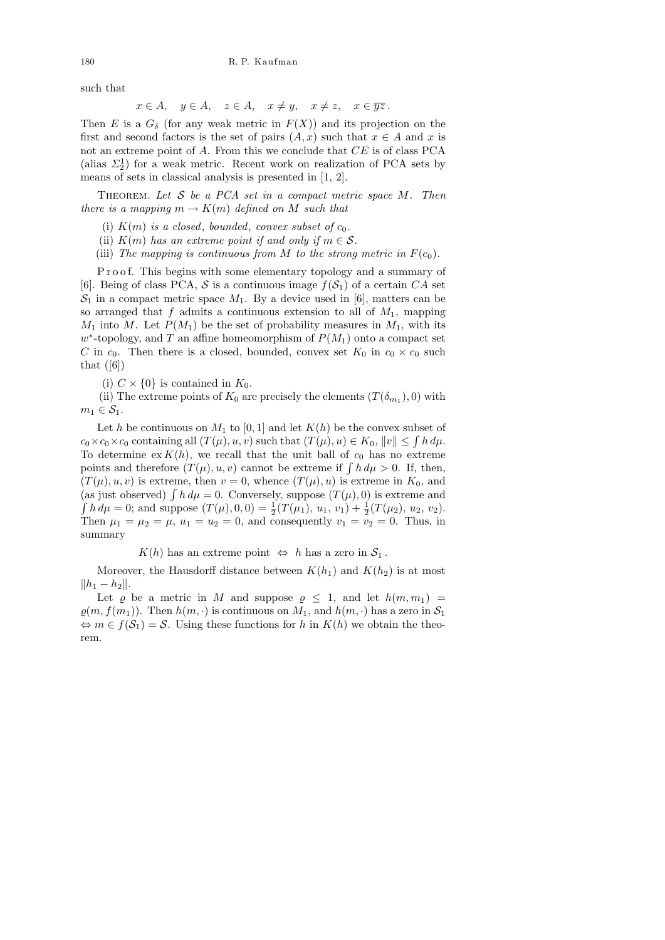such that

$$
x \in A
$$
,  $y \in A$ ,  $z \in A$ ,  $x \neq y$ ,  $x \neq z$ ,  $x \in \overline{yz}$ .

Then E is a  $G_{\delta}$  (for any weak metric in  $F(X)$ ) and its projection on the first and second factors is the set of pairs  $(A, x)$  such that  $x \in A$  and x is not an extreme point of A. From this we conclude that  $CE$  is of class PCA (alias  $\Sigma_2^1$ ) for a weak metric. Recent work on realization of PCA sets by means of sets in classical analysis is presented in [1, 2].

THEOREM. Let S be a PCA set in a compact metric space  $M$ . Then there is a mapping  $m \to K(m)$  defined on M such that

(i)  $K(m)$  is a closed, bounded, convex subset of  $c_0$ .

(ii)  $K(m)$  has an extreme point if and only if  $m \in \mathcal{S}$ .

(iii) The mapping is continuous from M to the strong metric in  $F(c_0)$ .

P roof. This begins with some elementary topology and a summary of [6]. Being of class PCA, S is a continuous image  $f(\mathcal{S}_1)$  of a certain CA set  $S_1$  in a compact metric space  $M_1$ . By a device used in [6], matters can be so arranged that f admits a continuous extension to all of  $M_1$ , mapping  $M_1$  into M. Let  $P(M_1)$  be the set of probability measures in  $M_1$ , with its  $w^*$ -topology, and T an affine homeomorphism of  $P(M_1)$  onto a compact set C in  $c_0$ . Then there is a closed, bounded, convex set  $K_0$  in  $c_0 \times c_0$  such that  $([6])$ 

(i)  $C \times \{0\}$  is contained in  $K_0$ .

(ii) The extreme points of  $K_0$  are precisely the elements  $(T(\delta_{m_1}), 0)$  with  $m_1 \in \mathcal{S}_1$ .

Let h be continuous on  $M_1$  to [0, 1] and let  $K(h)$  be the convex subset of  $c_0 \times c_0 \times c_0$  containing all  $(T(\mu), u, v)$  such that  $(T(\mu), u) \in K_0$ ,  $||v|| \leq \int h \, d\mu$ . To determine  $ex K(h)$ , we recall that the unit ball of  $c_0$  has no extreme points and therefore  $(T(\mu), u, v)$  cannot be extreme if  $\int h d\mu > 0$ . If, then,  $(T(\mu), u, v)$  is extreme, then  $v = 0$ , whence  $(T(\mu), u)$  is extreme in  $K_0$ , and (as just observed)  $\int h d\mu = 0$ . Conversely, suppose  $(T(\mu), 0)$  is extreme and  $\int h \, d\mu = 0$ ; and suppose  $(T(\mu), 0, 0) = \frac{1}{2}(T(\mu_1), u_1, v_1) + \frac{1}{2}(T(\mu_2), u_2, v_2)$ . Then  $\mu_1 = \mu_2 = \mu$ ,  $u_1 = u_2 = 0$ , and consequently  $v_1 = v_2 = 0$ . Thus, in summary

 $K(h)$  has an extreme point  $\Leftrightarrow h$  has a zero in  $S_1$ .

Moreover, the Hausdorff distance between  $K(h_1)$  and  $K(h_2)$  is at most  $||h_1 - h_2||.$ 

Let  $\varrho$  be a metric in M and suppose  $\varrho \leq 1$ , and let  $h(m, m_1)$  =  $\varrho(m, f(m_1))$ . Then  $h(m, \cdot)$  is continuous on  $M_1$ , and  $h(m, \cdot)$  has a zero in  $S_1$  $\Leftrightarrow m \in f(\mathcal{S}_1) = \mathcal{S}$ . Using these functions for h in  $K(h)$  we obtain the theorem.